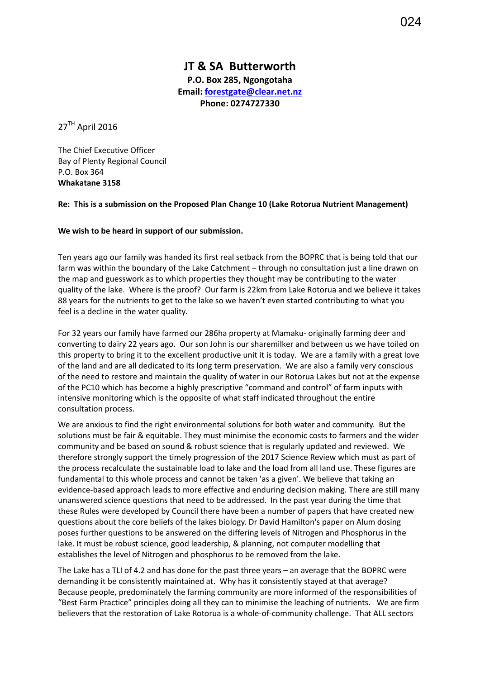## **JT & SA Butterworth P.O. Box 285, Ngongotaha**

**Email: [forestgate@clear.net.nz](mailto:forestgate@clear.net.nz) Phone: 0274727330**

 $27<sup>TH</sup>$  April 2016

The Chief Executive Officer Bay of Plenty Regional Council P.O. Box 364 **Whakatane 3158**

## **Re: This is a submission on the Proposed Plan Change 10 (Lake Rotorua Nutrient Management)**

## **We wish to be heard in support of our submission.**

Ten years ago our family was handed its first real setback from the BOPRC that is being told that our farm was within the boundary of the Lake Catchment – through no consultation just a line drawn on the map and guesswork as to which properties they thought may be contributing to the water quality of the lake. Where is the proof? Our farm is 22km from Lake Rotorua and we believe it takes 88 years for the nutrients to get to the lake so we haven't even started contributing to what you feel is a decline in the water quality.

For 32 years our family have farmed our 286ha property at Mamaku- originally farming deer and converting to dairy 22 years ago. Our son John is our sharemilker and between us we have toiled on this property to bring it to the excellent productive unit it is today. We are a family with a great love of the land and are all dedicated to its long term preservation. We are also a family very conscious of the need to restore and maintain the quality of water in our Rotorua Lakes but not at the expense of the PC10 which has become a highly prescriptive "command and control" of farm inputs with intensive monitoring which is the opposite of what staff indicated throughout the entire consultation process.

We are anxious to find the right environmental solutions for both water and community. But the solutions must be fair & equitable. They must minimise the economic costs to farmers and the wider community and be based on sound & robust science that is regularly updated and reviewed. We therefore strongly support the timely progression of the 2017 Science Review which must as part of the process recalculate the sustainable load to lake and the load from all land use. These figures are fundamental to this whole process and cannot be taken 'as a given'. We believe that taking an evidence-based approach leads to more effective and enduring decision making. There are still many unanswered science questions that need to be addressed. In the past year during the time that these Rules were developed by Council there have been a number of papers that have created new questions about the core beliefs of the lakes biology. Dr David Hamilton's paper on Alum dosing poses further questions to be answered on the differing levels of Nitrogen and Phosphorus in the lake. It must be robust science, good leadership, & planning, not computer modelling that establishes the level of Nitrogen and phosphorus to be removed from the lake.

The Lake has a TLI of 4.2 and has done for the past three years – an average that the BOPRC were demanding it be consistently maintained at. Why has it consistently stayed at that average? Because people, predominately the farming community are more informed of the responsibilities of "Best Farm Practice" principles doing all they can to minimise the leaching of nutrients. We are firm believers that the restoration of Lake Rotorua is a whole-of-community challenge. That ALL sectors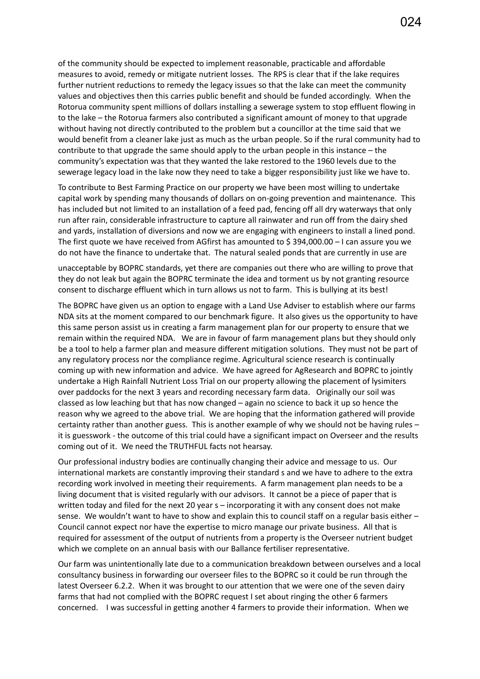of the community should be expected to implement reasonable, practicable and affordable measures to avoid, remedy or mitigate nutrient losses. The RPS is clear that if the lake requires further nutrient reductions to remedy the legacy issues so that the lake can meet the community values and objectives then this carries public benefit and should be funded accordingly. When the Rotorua community spent millions of dollars installing a sewerage system to stop effluent flowing in to the lake – the Rotorua farmers also contributed a significant amount of money to that upgrade without having not directly contributed to the problem but a councillor at the time said that we would benefit from a cleaner lake just as much as the urban people. So if the rural community had to contribute to that upgrade the same should apply to the urban people in this instance – the community's expectation was that they wanted the lake restored to the 1960 levels due to the sewerage legacy load in the lake now they need to take a bigger responsibility just like we have to.

To contribute to Best Farming Practice on our property we have been most willing to undertake capital work by spending many thousands of dollars on on-going prevention and maintenance. This has included but not limited to an installation of a feed pad, fencing off all dry waterways that only run after rain, considerable infrastructure to capture all rainwater and run off from the dairy shed and yards, installation of diversions and now we are engaging with engineers to install a lined pond. The first quote we have received from AGfirst has amounted to \$ 394,000.00 – I can assure you we do not have the finance to undertake that. The natural sealed ponds that are currently in use are

unacceptable by BOPRC standards, yet there are companies out there who are willing to prove that they do not leak but again the BOPRC terminate the idea and torment us by not granting resource consent to discharge effluent which in turn allows us not to farm. This is bullying at its best!

The BOPRC have given us an option to engage with a Land Use Adviser to establish where our farms NDA sits at the moment compared to our benchmark figure. It also gives us the opportunity to have this same person assist us in creating a farm management plan for our property to ensure that we remain within the required NDA. We are in favour of farm management plans but they should only be a tool to help a farmer plan and measure different mitigation solutions. They must not be part of any regulatory process nor the compliance regime. Agricultural science research is continually coming up with new information and advice. We have agreed for AgResearch and BOPRC to jointly undertake a High Rainfall Nutrient Loss Trial on our property allowing the placement of lysimiters over paddocks for the next 3 years and recording necessary farm data. Originally our soil was classed as low leaching but that has now changed – again no science to back it up so hence the reason why we agreed to the above trial. We are hoping that the information gathered will provide certainty rather than another guess. This is another example of why we should not be having rules – it is guesswork - the outcome of this trial could have a significant impact on Overseer and the results coming out of it. We need the TRUTHFUL facts not hearsay.

Our professional industry bodies are continually changing their advice and message to us. Our international markets are constantly improving their standard s and we have to adhere to the extra recording work involved in meeting their requirements. A farm management plan needs to be a living document that is visited regularly with our advisors. It cannot be a piece of paper that is written today and filed for the next 20 year s – incorporating it with any consent does not make sense. We wouldn't want to have to show and explain this to council staff on a regular basis either -Council cannot expect nor have the expertise to micro manage our private business. All that is required for assessment of the output of nutrients from a property is the Overseer nutrient budget which we complete on an annual basis with our Ballance fertiliser representative.

Our farm was unintentionally late due to a communication breakdown between ourselves and a local consultancy business in forwarding our overseer files to the BOPRC so it could be run through the latest Overseer 6.2.2. When it was brought to our attention that we were one of the seven dairy farms that had not complied with the BOPRC request I set about ringing the other 6 farmers concerned. I was successful in getting another 4 farmers to provide their information. When we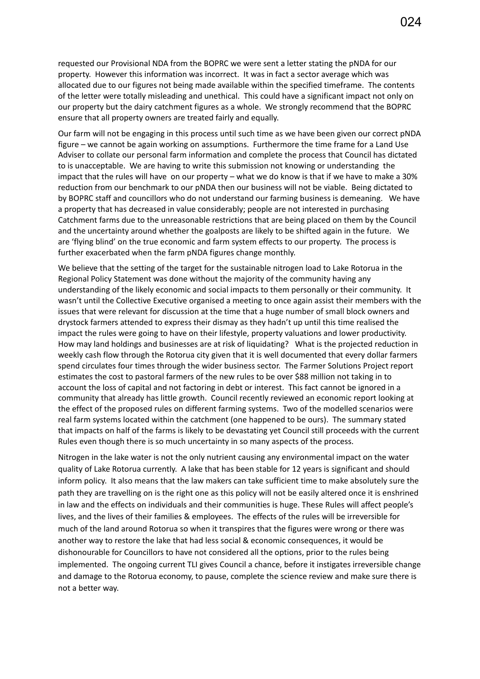requested our Provisional NDA from the BOPRC we were sent a letter stating the pNDA for our property. However this information was incorrect. It was in fact a sector average which was allocated due to our figures not being made available within the specified timeframe. The contents of the letter were totally misleading and unethical. This could have a significant impact not only on our property but the dairy catchment figures as a whole. We strongly recommend that the BOPRC ensure that all property owners are treated fairly and equally.

Our farm will not be engaging in this process until such time as we have been given our correct pNDA figure – we cannot be again working on assumptions. Furthermore the time frame for a Land Use Adviser to collate our personal farm information and complete the process that Council has dictated to is unacceptable. We are having to write this submission not knowing or understanding the impact that the rules will have on our property – what we do know is that if we have to make a 30% reduction from our benchmark to our pNDA then our business will not be viable. Being dictated to by BOPRC staff and councillors who do not understand our farming business is demeaning. We have a property that has decreased in value considerably; people are not interested in purchasing Catchment farms due to the unreasonable restrictions that are being placed on them by the Council and the uncertainty around whether the goalposts are likely to be shifted again in the future. We are 'flying blind' on the true economic and farm system effects to our property. The process is further exacerbated when the farm pNDA figures change monthly.

We believe that the setting of the target for the sustainable nitrogen load to Lake Rotorua in the Regional Policy Statement was done without the majority of the community having any understanding of the likely economic and social impacts to them personally or their community. It wasn't until the Collective Executive organised a meeting to once again assist their members with the issues that were relevant for discussion at the time that a huge number of small block owners and drystock farmers attended to express their dismay as they hadn't up until this time realised the impact the rules were going to have on their lifestyle, property valuations and lower productivity. How may land holdings and businesses are at risk of liquidating? What is the projected reduction in weekly cash flow through the Rotorua city given that it is well documented that every dollar farmers spend circulates four times through the wider business sector. The Farmer Solutions Project report estimates the cost to pastoral farmers of the new rules to be over \$88 million not taking in to account the loss of capital and not factoring in debt or interest. This fact cannot be ignored in a community that already has little growth. Council recently reviewed an economic report looking at the effect of the proposed rules on different farming systems. Two of the modelled scenarios were real farm systems located within the catchment (one happened to be ours). The summary stated that impacts on half of the farms is likely to be devastating yet Council still proceeds with the current Rules even though there is so much uncertainty in so many aspects of the process.

Nitrogen in the lake water is not the only nutrient causing any environmental impact on the water quality of Lake Rotorua currently. A lake that has been stable for 12 years is significant and should inform policy. It also means that the law makers can take sufficient time to make absolutely sure the path they are travelling on is the right one as this policy will not be easily altered once it is enshrined in law and the effects on individuals and their communities is huge. These Rules will affect people's lives, and the lives of their families & employees. The effects of the rules will be irreversible for much of the land around Rotorua so when it transpires that the figures were wrong or there was another way to restore the lake that had less social & economic consequences, it would be dishonourable for Councillors to have not considered all the options, prior to the rules being implemented. The ongoing current TLI gives Council a chance, before it instigates irreversible change and damage to the Rotorua economy, to pause, complete the science review and make sure there is not a better way.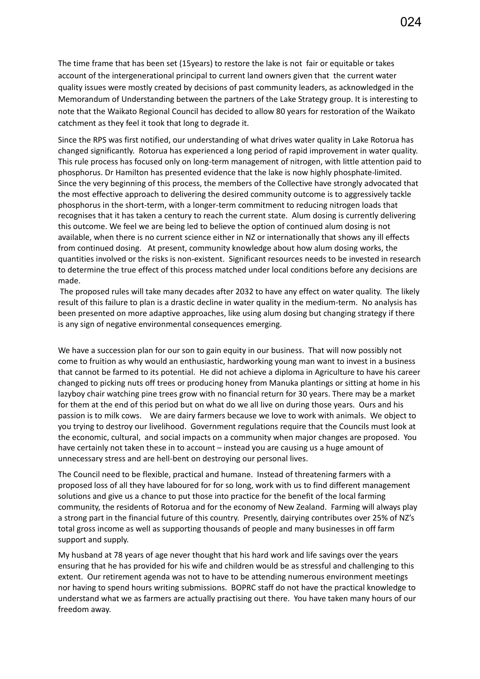The time frame that has been set (15years) to restore the lake is not fair or equitable or takes account of the intergenerational principal to current land owners given that the current water quality issues were mostly created by decisions of past community leaders, as acknowledged in the Memorandum of Understanding between the partners of the Lake Strategy group. It is interesting to note that the Waikato Regional Council has decided to allow 80 years for restoration of the Waikato catchment as they feel it took that long to degrade it.

Since the RPS was first notified, our understanding of what drives water quality in Lake Rotorua has changed significantly. Rotorua has experienced a long period of rapid improvement in water quality. This rule process has focused only on long-term management of nitrogen, with little attention paid to phosphorus. Dr Hamilton has presented evidence that the lake is now highly phosphate-limited. Since the very beginning of this process, the members of the Collective have strongly advocated that the most effective approach to delivering the desired community outcome is to aggressively tackle phosphorus in the short-term, with a longer-term commitment to reducing nitrogen loads that recognises that it has taken a century to reach the current state. Alum dosing is currently delivering this outcome. We feel we are being led to believe the option of continued alum dosing is not available, when there is no current science either in NZ or internationally that shows any ill effects from continued dosing. At present, community knowledge about how alum dosing works, the quantities involved or the risks is non-existent. Significant resources needs to be invested in research to determine the true effect of this process matched under local conditions before any decisions are made.

The proposed rules will take many decades after 2032 to have any effect on water quality. The likely result of this failure to plan is a drastic decline in water quality in the medium-term. No analysis has been presented on more adaptive approaches, like using alum dosing but changing strategy if there is any sign of negative environmental consequences emerging.

We have a succession plan for our son to gain equity in our business. That will now possibly not come to fruition as why would an enthusiastic, hardworking young man want to invest in a business that cannot be farmed to its potential. He did not achieve a diploma in Agriculture to have his career changed to picking nuts off trees or producing honey from Manuka plantings or sitting at home in his lazyboy chair watching pine trees grow with no financial return for 30 years. There may be a market for them at the end of this period but on what do we all live on during those years. Ours and his passion is to milk cows. We are dairy farmers because we love to work with animals. We object to you trying to destroy our livelihood. Government regulations require that the Councils must look at the economic, cultural, and social impacts on a community when major changes are proposed. You have certainly not taken these in to account – instead you are causing us a huge amount of unnecessary stress and are hell-bent on destroying our personal lives.

The Council need to be flexible, practical and humane. Instead of threatening farmers with a proposed loss of all they have laboured for for so long, work with us to find different management solutions and give us a chance to put those into practice for the benefit of the local farming community, the residents of Rotorua and for the economy of New Zealand. Farming will always play a strong part in the financial future of this country. Presently, dairying contributes over 25% of NZ's total gross income as well as supporting thousands of people and many businesses in off farm support and supply.

My husband at 78 years of age never thought that his hard work and life savings over the years ensuring that he has provided for his wife and children would be as stressful and challenging to this extent. Our retirement agenda was not to have to be attending numerous environment meetings nor having to spend hours writing submissions. BOPRC staff do not have the practical knowledge to understand what we as farmers are actually practising out there. You have taken many hours of our freedom away.